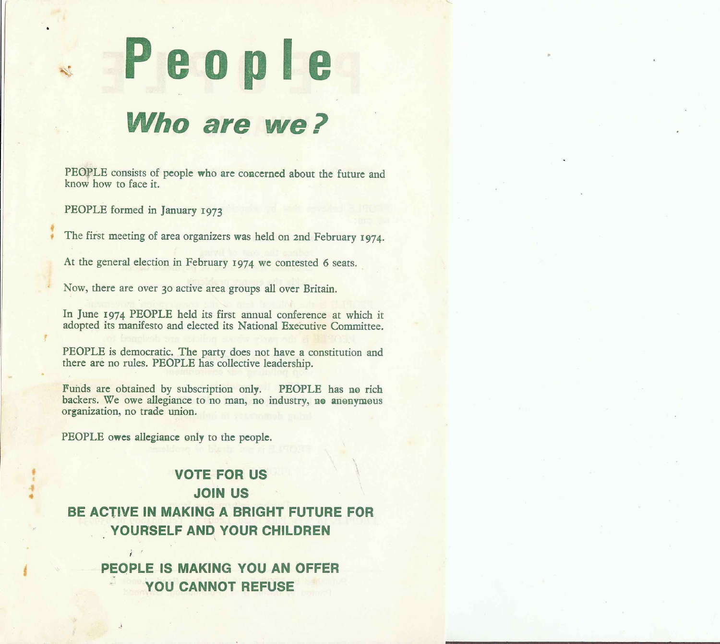Who are we?

PEOPLE consists of people who are concerned about the future and know how to face it.

PEOPLE formed in January 1973

The first meeting of area organizers was held on 2nd February 1974.

At the general election in February 1974 we contested 6 seats.

Now, there are over 30 active area groups all over Britain.

In June 1974 PEOPLE held its first annual conference at which it adopted its manifesto and elected its National Executive Committee.

PEOPLE is democratic. The party does not have a constitution and there are no rules. PEOPLE has collective leadership.

Funds are obtained by subscription only. PEOPLE has no rich backers. We owe allegiance to no man, no industry, no anonymous organization, no trade union.

PEOPLE owes allegiance only to the people.

## **VOTE FOR US JOIN US** BE ACTIVE IN MAKING A BRIGHT FUTURE FOR YOURSELF AND YOUR CHILDREN

PEOPLE IS MAKING YOU AN OFFER YOU CANNOT REFUSE